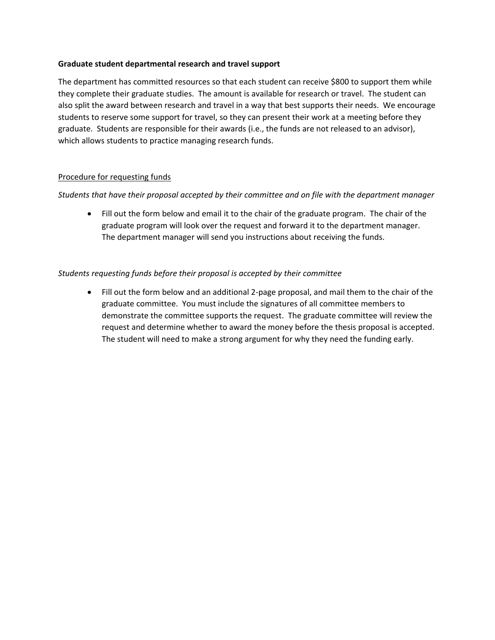### **Graduate student departmental research and travel support**

The department has committed resources so that each student can receive \$800 to support them while they complete their graduate studies. The amount is available for research or travel. The student can also split the award between research and travel in a way that best supports their needs. We encourage students to reserve some support for travel, so they can present their work at a meeting before they graduate. Students are responsible for their awards (i.e., the funds are not released to an advisor), which allows students to practice managing research funds.

# Procedure for requesting funds

# *Students that have their proposal accepted by their committee and on file with the department manager*

• Fill out the form below and email it to the chair of the graduate program. The chair of the graduate program will look over the request and forward it to the department manager. The department manager will send you instructions about receiving the funds.

# *Students requesting funds before their proposal is accepted by their committee*

• Fill out the form below and an additional 2-page proposal, and mail them to the chair of the graduate committee. You must include the signatures of all committee members to demonstrate the committee supports the request. The graduate committee will review the request and determine whether to award the money before the thesis proposal is accepted. The student will need to make a strong argument for why they need the funding early.